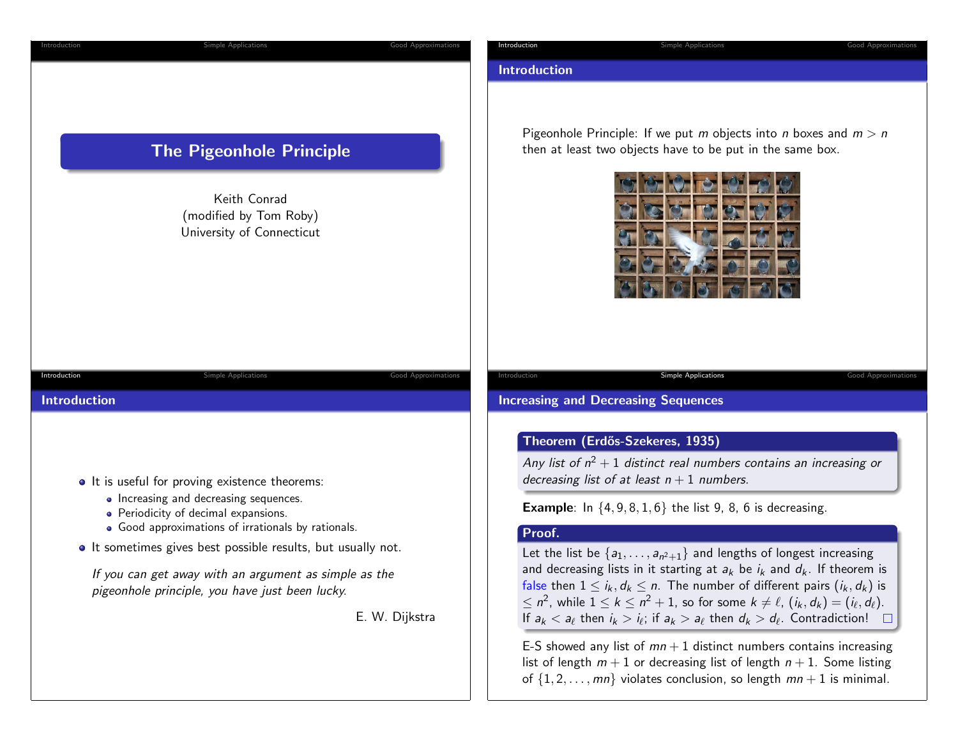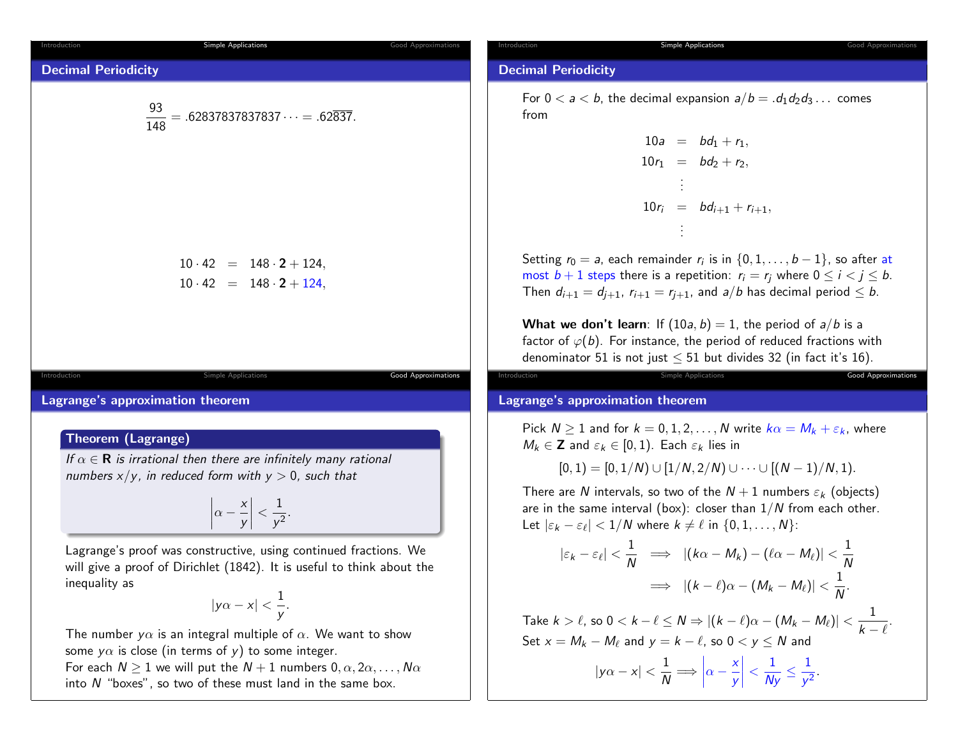| Introduction                        | Simple Applications                                               |
|-------------------------------------|-------------------------------------------------------------------|
| <b>Decimal Periodicity</b>          | $\frac{93}{148} = .62837837837837837 \cdots = .62\overline{837}.$ |
| $10 \cdot 42 = 148 \cdot 2 + 124$ , |                                                                   |
| $10 \cdot 42 = 148 \cdot 2 + 124$ , |                                                                   |

Lagrange's approximation theorem

### Theorem (Lagrange)

Introduction

If  $\alpha \in \mathbf{R}$  is irrational then there are infinitely many rational numbers  $x/y$ , in reduced form with  $y > 0$ , such that

$$
\left|\alpha-\frac{x}{y}\right|<\frac{1}{y^2}.
$$

Simple Applications **Good Approximation** 

Lagrange's proof was constructive, using continued fractions. We will give a proof of Dirichlet (1842). It is useful to think about theinequality as

$$
|y\alpha-x|<\frac{1}{y}.
$$

The number  $y\alpha$  is an integral multiple of  $\alpha$ . We want to show some  $y\alpha$  is close (in terms of  $y$ ) to some integer. For each  $N\geq 1$  we will put the  $N+1$  numbers  $0,\alpha,2\alpha,\ldots,N\alpha$ 

into  $N$  "boxes", so two of these must land in the same box.

#### Introduction

ntroduction

Good Approximations

#### Simple Applications **Good Approximations** Good Approximation

# Decimal Periodicity

For  $0 < a < b$ , the decimal expansion  $a/b = .d_1d_2d_3\ldots$  comes from

> $10a = bd_1 + r_1,$  $10r_1 = bd_2 + r_2,$  $10r_i = bd_{i+1} + r_{i+1},$

Setting  $r_0 = a$ , each remainder  $r_i$  is in  $\{0, 1, \ldots, b-1\}$ , so after at most  $b+1$  steps there is a repetition:  $r_i = r_j$  where  $0 \leq i < j \leq b$ . Then  $d_{i+1} = d_{j+1}$ ,  $r_{i+1} = r_{j+1}$ , and  $a/b$  has decimal period  $\leq b$ .

**What we don't learn**: If  $(10a, b) = 1$ , the period of  $a/b$  is a factor of  $\varphi(b)$ . For instance, the period of reduced fractions with denominator 51 is not just  $\leq$  51 but divides 32 (in fact it's 16).

Simple Applications **Good Approximations** 

#### Lagrange's approximation theorem

Pick  $N\geq 1$  and for  $k=0,1,2,\ldots,N$  write  $k\alpha=M_k+\varepsilon_k$ , where  $M_k \in \mathbf{Z}$  and  $\varepsilon_k \in [0,1)$ . Each  $\varepsilon_k$  lies in

$$
[0,1) = [0,1/N) \cup [1/N,2/N) \cup \cdots \cup [(N-1)/N,1).
$$

There are N intervals, so two of the  $N+1$  numbers  $\varepsilon_k$  (objects) are in the same interval (box): closer than  $1/N$  from each other. Let  $|\varepsilon_k - \varepsilon_\ell| < 1/N$  where  $k \neq \ell$  in  $\{0, 1, \ldots, N\}$ :

$$
|\varepsilon_{k} - \varepsilon_{\ell}| < \frac{1}{N} \implies |(k\alpha - M_{k}) - (\ell \alpha - M_{\ell})| < \frac{1}{N}
$$
  

$$
\implies |(k - \ell)\alpha - (M_{k} - M_{\ell})| < \frac{1}{N}.
$$
  
Take  $k > \ell$ , so  $0 < k - \ell \le N \Rightarrow |(k - \ell)\alpha - (M_{k} - M_{\ell})| < \frac{1}{k - \ell}.$   
Set  $x = M_{k} - M_{\ell}$  and  $y = k - \ell$ , so  $0 < y \le N$  and  
 $|y\alpha - x| < \frac{1}{N} \Longrightarrow \left|\alpha - \frac{x}{y}\right| < \frac{1}{Ny} \le \frac{1}{y^{2}}.$